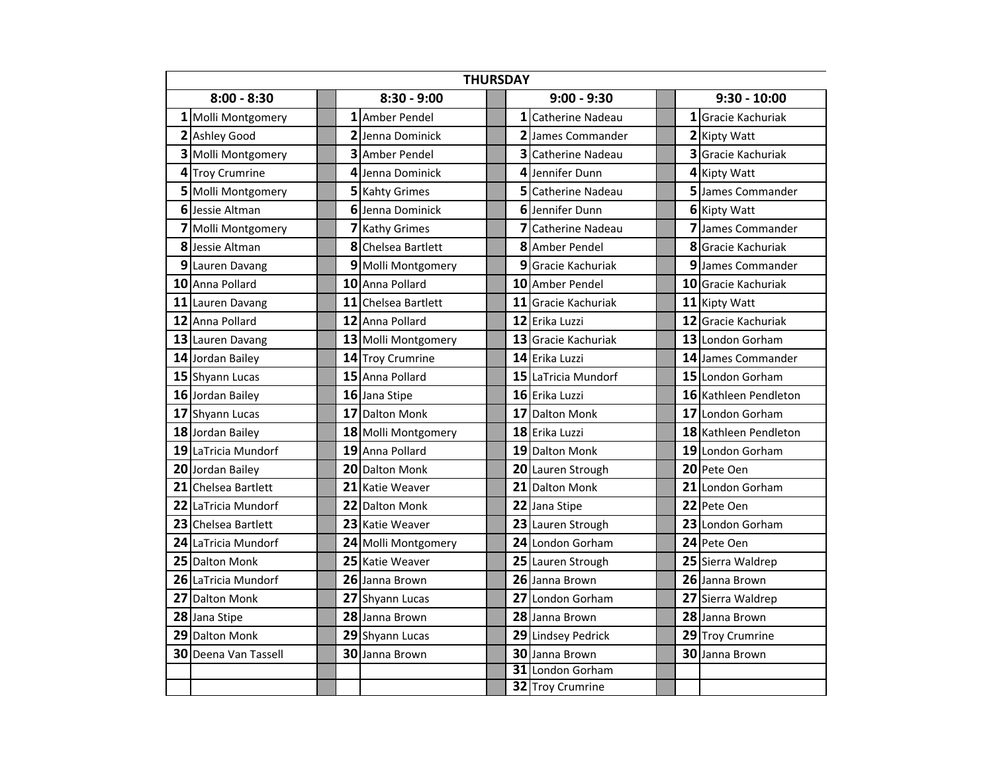| <b>THURSDAY</b> |                               |  |               |                       |  |   |                         |  |  |                       |
|-----------------|-------------------------------|--|---------------|-----------------------|--|---|-------------------------|--|--|-----------------------|
| $8:00 - 8:30$   |                               |  | $8:30 - 9:00$ | $9:00 - 9:30$         |  |   | $9:30 - 10:00$          |  |  |                       |
|                 | 1 Molli Montgomery            |  |               | 1 Amber Pendel        |  |   | 1 Catherine Nadeau      |  |  | 1 Gracie Kachuriak    |
|                 | 2 Ashley Good                 |  |               | 2 Jenna Dominick      |  |   | 2 James Commander       |  |  | 2 Kipty Watt          |
|                 | 3 Molli Montgomery            |  |               | 3 Amber Pendel        |  | 3 | <b>Catherine Nadeau</b> |  |  | 3 Gracie Kachuriak    |
|                 | 4 Troy Crumrine               |  |               | 4 Jenna Dominick      |  | 4 | Jennifer Dunn           |  |  | 4 Kipty Watt          |
|                 | 5 Molli Montgomery            |  |               | <b>5</b> Kahty Grimes |  |   | 5 Catherine Nadeau      |  |  | 5 James Commander     |
|                 | 6 Jessie Altman               |  |               | 6 Jenna Dominick      |  |   | 6 Jennifer Dunn         |  |  | 6 Kipty Watt          |
|                 | 7 Molli Montgomery            |  |               | <b>7</b> Kathy Grimes |  | 7 | Catherine Nadeau        |  |  | 7 James Commander     |
|                 | 8 Jessie Altman               |  | 8             | Chelsea Bartlett      |  | 8 | Amber Pendel            |  |  | 8 Gracie Kachuriak    |
|                 | 9 Lauren Davang               |  |               | 9 Molli Montgomery    |  |   | 9 Gracie Kachuriak      |  |  | 9 James Commander     |
|                 | 10 Anna Pollard               |  |               | 10 Anna Pollard       |  |   | 10 Amber Pendel         |  |  | 10 Gracie Kachuriak   |
|                 | 11 Lauren Davang              |  |               | 11 Chelsea Bartlett   |  |   | 11 Gracie Kachuriak     |  |  | 11 Kipty Watt         |
|                 | 12 Anna Pollard               |  |               | 12 Anna Pollard       |  |   | 12 Erika Luzzi          |  |  | 12 Gracie Kachuriak   |
|                 | 13 Lauren Davang              |  |               | 13 Molli Montgomery   |  |   | 13 Gracie Kachuriak     |  |  | 13 London Gorham      |
|                 | 14 Jordan Bailey              |  |               | 14 Troy Crumrine      |  |   | 14 Erika Luzzi          |  |  | 14 James Commander    |
|                 | 15 Shyann Lucas               |  |               | 15 Anna Pollard       |  |   | 15 LaTricia Mundorf     |  |  | 15 London Gorham      |
|                 | 16 Jordan Bailey              |  |               | 16 Jana Stipe         |  |   | 16 Erika Luzzi          |  |  | 16 Kathleen Pendleton |
|                 | 17 Shyann Lucas               |  |               | 17 Dalton Monk        |  |   | 17 Dalton Monk          |  |  | 17 London Gorham      |
|                 | 18 Jordan Bailey              |  |               | 18 Molli Montgomery   |  |   | 18 Erika Luzzi          |  |  | 18 Kathleen Pendleton |
|                 | 19 LaTricia Mundorf           |  |               | 19 Anna Pollard       |  |   | 19 Dalton Monk          |  |  | 19 London Gorham      |
|                 | 20 Jordan Bailey              |  |               | 20 Dalton Monk        |  |   | 20 Lauren Strough       |  |  | 20 Pete Oen           |
|                 | 21 Chelsea Bartlett           |  |               | 21 Katie Weaver       |  |   | 21 Dalton Monk          |  |  | 21 London Gorham      |
|                 | 22 LaTricia Mundorf           |  | 22            | <b>Dalton Monk</b>    |  |   | 22 Jana Stipe           |  |  | 22 Pete Oen           |
|                 | 23 Chelsea Bartlett           |  |               | 23 Katie Weaver       |  |   | 23 Lauren Strough       |  |  | 23 London Gorham      |
|                 | 24 LaTricia Mundorf           |  |               | 24 Molli Montgomery   |  |   | 24 London Gorham        |  |  | 24 Pete Oen           |
|                 | 25 Dalton Monk                |  |               | 25 Katie Weaver       |  |   | 25 Lauren Strough       |  |  | 25 Sierra Waldrep     |
|                 | 26 LaTricia Mundorf           |  |               | 26 Janna Brown        |  |   | 26 Janna Brown          |  |  | 26 Janna Brown        |
|                 | 27 Dalton Monk                |  |               | 27 Shyann Lucas       |  |   | 27 London Gorham        |  |  | 27 Sierra Waldrep     |
|                 | 28 Jana Stipe                 |  |               | 28 Janna Brown        |  |   | 28 Janna Brown          |  |  | 28 Janna Brown        |
|                 | 29 Dalton Monk                |  |               | 29 Shyann Lucas       |  |   | 29 Lindsey Pedrick      |  |  | 29 Troy Crumrine      |
|                 | <b>30 I</b> Deena Van Tassell |  |               | 30 Janna Brown        |  |   | 30 Janna Brown          |  |  | 30 Janna Brown        |
|                 |                               |  |               |                       |  |   | 31 London Gorham        |  |  |                       |
|                 |                               |  |               |                       |  |   | 32 Troy Crumrine        |  |  |                       |